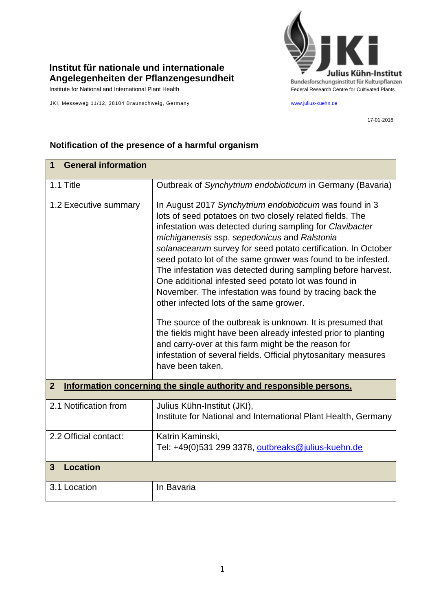

## **Institut für nationale und internationale Angelegenheiten der Pflanzengesundheit**

JKI, Messeweg 11/12, 38104 Braunschweig, Germany [www.julius-kuehn.de](http://www.julius-kuehn.de/)

17-01-2018

| <b>General information</b><br>1                                                        |                                                                                                                                                                                                                                                                                                                                                                                                                                                                                                                                                                                                                                                                                                                                                                                                                                                                           |  |
|----------------------------------------------------------------------------------------|---------------------------------------------------------------------------------------------------------------------------------------------------------------------------------------------------------------------------------------------------------------------------------------------------------------------------------------------------------------------------------------------------------------------------------------------------------------------------------------------------------------------------------------------------------------------------------------------------------------------------------------------------------------------------------------------------------------------------------------------------------------------------------------------------------------------------------------------------------------------------|--|
| 1.1 Title                                                                              | Outbreak of Synchytrium endobioticum in Germany (Bavaria)                                                                                                                                                                                                                                                                                                                                                                                                                                                                                                                                                                                                                                                                                                                                                                                                                 |  |
| 1.2 Executive summary                                                                  | In August 2017 Synchytrium endobioticum was found in 3<br>lots of seed potatoes on two closely related fields. The<br>infestation was detected during sampling for Clavibacter<br>michiganensis ssp. sepedonicus and Ralstonia<br>solanacearum survey for seed potato certification. In October<br>seed potato lot of the same grower was found to be infested.<br>The infestation was detected during sampling before harvest.<br>One additional infested seed potato lot was found in<br>November. The infestation was found by tracing back the<br>other infected lots of the same grower.<br>The source of the outbreak is unknown. It is presumed that<br>the fields might have been already infested prior to planting<br>and carry-over at this farm might be the reason for<br>infestation of several fields. Official phytosanitary measures<br>have been taken. |  |
| Information concerning the single authority and responsible persons.<br>$\overline{2}$ |                                                                                                                                                                                                                                                                                                                                                                                                                                                                                                                                                                                                                                                                                                                                                                                                                                                                           |  |
| 2.1 Notification from                                                                  | Julius Kühn-Institut (JKI),<br>Institute for National and International Plant Health, Germany                                                                                                                                                                                                                                                                                                                                                                                                                                                                                                                                                                                                                                                                                                                                                                             |  |
| 2.2 Official contact:                                                                  | Katrin Kaminski,<br>Tel: +49(0)531 299 3378, outbreaks@julius-kuehn.de                                                                                                                                                                                                                                                                                                                                                                                                                                                                                                                                                                                                                                                                                                                                                                                                    |  |
| <b>Location</b><br>3                                                                   |                                                                                                                                                                                                                                                                                                                                                                                                                                                                                                                                                                                                                                                                                                                                                                                                                                                                           |  |
| 3.1 Location                                                                           | In Bavaria                                                                                                                                                                                                                                                                                                                                                                                                                                                                                                                                                                                                                                                                                                                                                                                                                                                                |  |

## **Notification of the presence of a harmful organism**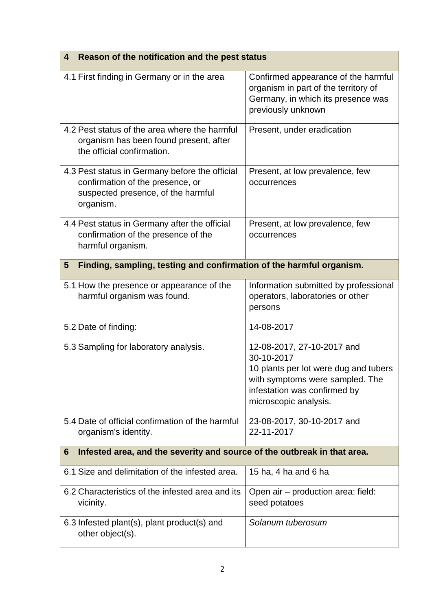| Reason of the notification and the pest status<br>4                                                                                   |                                                                                                                                                                               |  |
|---------------------------------------------------------------------------------------------------------------------------------------|-------------------------------------------------------------------------------------------------------------------------------------------------------------------------------|--|
| 4.1 First finding in Germany or in the area                                                                                           | Confirmed appearance of the harmful<br>organism in part of the territory of<br>Germany, in which its presence was<br>previously unknown                                       |  |
| 4.2 Pest status of the area where the harmful<br>organism has been found present, after<br>the official confirmation.                 | Present, under eradication                                                                                                                                                    |  |
| 4.3 Pest status in Germany before the official<br>confirmation of the presence, or<br>suspected presence, of the harmful<br>organism. | Present, at low prevalence, few<br>occurrences                                                                                                                                |  |
| 4.4 Pest status in Germany after the official<br>confirmation of the presence of the<br>harmful organism.                             | Present, at low prevalence, few<br>occurrences                                                                                                                                |  |
| Finding, sampling, testing and confirmation of the harmful organism.<br>$5\phantom{.0}$                                               |                                                                                                                                                                               |  |
| 5.1 How the presence or appearance of the<br>harmful organism was found.                                                              | Information submitted by professional<br>operators, laboratories or other<br>persons                                                                                          |  |
| 5.2 Date of finding:                                                                                                                  | 14-08-2017                                                                                                                                                                    |  |
| 5.3 Sampling for laboratory analysis.                                                                                                 | 12-08-2017, 27-10-2017 and<br>30-10-2017<br>10 plants per lot were dug and tubers<br>with symptoms were sampled. The<br>infestation was confirmed by<br>microscopic analysis. |  |
| 5.4 Date of official confirmation of the harmful<br>organism's identity.                                                              | 23-08-2017, 30-10-2017 and<br>22-11-2017                                                                                                                                      |  |
| Infested area, and the severity and source of the outbreak in that area.<br>6                                                         |                                                                                                                                                                               |  |
| 6.1 Size and delimitation of the infested area.                                                                                       | 15 ha, 4 ha and 6 ha                                                                                                                                                          |  |
| 6.2 Characteristics of the infested area and its<br>vicinity.                                                                         | Open air - production area: field:<br>seed potatoes                                                                                                                           |  |
| 6.3 Infested plant(s), plant product(s) and<br>other object(s).                                                                       | Solanum tuberosum                                                                                                                                                             |  |